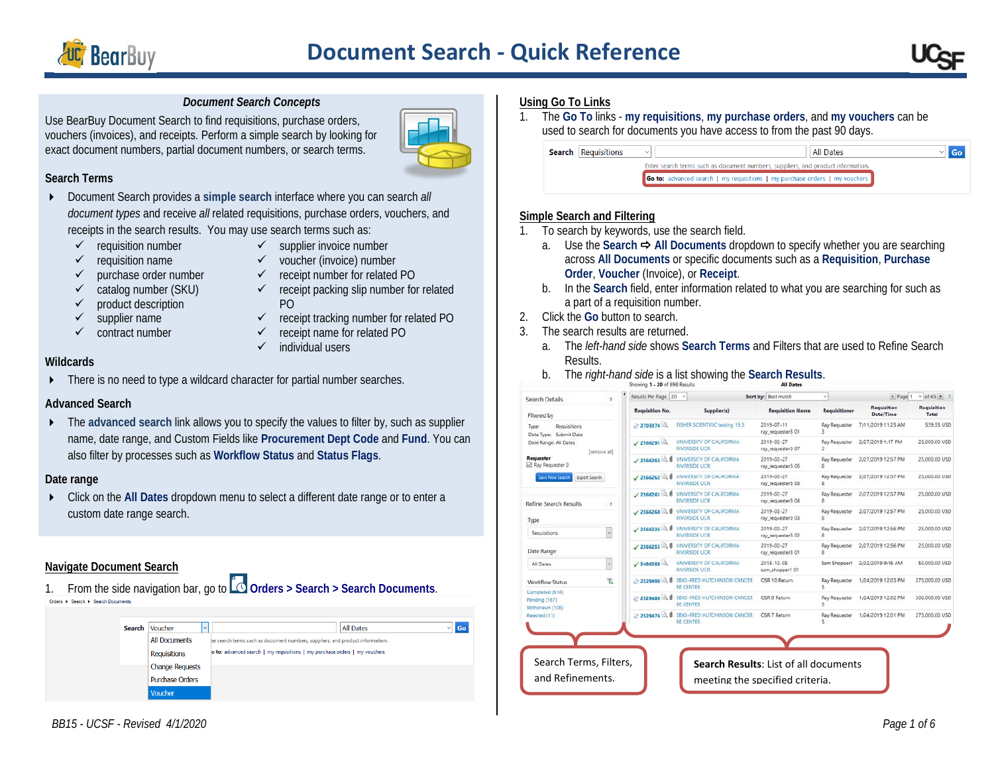



#### *Document Search Concepts*

Use BearBuy Document Search to find requisitions, purchase orders, vouchers (invoices), and receipts. Perform a simple search by looking for exact document numbers, partial document numbers, or search terms.



#### **Search Terms**

- Document Search provides a **simple search** interface where you can search *all document types* and receive *all* related requisitions, purchase orders, vouchers, and receipts in the search results. You may use search terms such as:
	- $\checkmark$  requisition number
- $\checkmark$  supplier invoice number
- $\checkmark$  requisition name
- $\checkmark$  voucher (invoice) number  $\checkmark$  receipt number for related PO
- $\checkmark$  purchase order number
- catalog number (SKU)
- $\checkmark$  product description
- $\checkmark$  supplier name
- $\checkmark$  contract number

PO  $\checkmark$  receipt tracking number for related PO

 $\checkmark$  receipt packing slip number for related

- $\checkmark$  receipt name for related PO
	- $\checkmark$  individual users

#### **Wildcards**

**FIGURER** There is no need to type a wildcard character for partial number searches.

### **Advanced Search**

▶ The advanced search link allows you to specify the values to filter by, such as supplier name, date range, and Custom Fields like **Procurement Dept Code** and **Fund**. You can also filter by processes such as **Workflow Status** and **Status Flags**.

#### **Date range**

 Click on the **All Dates** dropdown menu to select a different date range or to enter a custom date range search.

### **Navigate Document Search**

1. From the side navigation bar, go to **Orders > Search > Search Documents**.

| Search | Voucher<br>$\checkmark$ |                                                                                | Go<br><b>All Dates</b> |
|--------|-------------------------|--------------------------------------------------------------------------------|------------------------|
|        | <b>All Documents</b>    | ter search terms such as document numbers, suppliers, and product information. |                        |
|        | <b>Requisitions</b>     | o to: advanced search   my requisitions   my purchase orders   my vouchers     |                        |
|        | <b>Change Requests</b>  |                                                                                |                        |
|        | <b>Purchase Orders</b>  |                                                                                |                        |
|        | Voucher                 |                                                                                |                        |

#### **Using Go To Links**

1. The **Go To** links - **my requisitions**, **my purchase orders**, and **my vouchers** can be used to search for documents you have access to from the past 90 days.



### **Simple Search and Filtering**

- 1. To search by keywords, use the search field.
	- a. Use the Search **→ All Documents** dropdown to specify whether you are searching across **All Documents** or specific documents such as a **Requisition**, **Purchase Order**, **Voucher** (Invoice), or **Receipt**.
	- b. In the **Search** field, enter information related to what you are searching for such as a part of a requisition number.
- 2. Click the **Go** button to search.
- 3. The search results are returned.
	- a. The *left-hand side* shows **Search Terms** and Filters that are used to Refine Search Results.
	- b. The *right-hand side* is a list showing the **Search Results**.

| Search Details<br>$\overline{?}$                    | Results Per Page 20  | $\dot{M}$                                         | Sort by: Best match             | $\dot{\mathbf{v}}$                 | $R$ Page 1               | $\vee$ of 45 $\blacktriangleright$ 7 |
|-----------------------------------------------------|----------------------|---------------------------------------------------|---------------------------------|------------------------------------|--------------------------|--------------------------------------|
| Filtered by                                         | Regulsition No.      | Supplier(s)                                       | <b>Requisition Name</b>         | Requisitioner                      | Requisition<br>Date/Time | Requisition<br>Total                 |
| Requisitions<br>Type:<br>Submit Date<br>Date Type:  | 2703374              | FISHER SCIENTIFIC testing 19.3                    | 2019-07-11<br>ray_requester3 01 | <b>Ray Requester</b><br>3          | 7/11/2019 11:25 AM       | 539.55 USD                           |
| Date Range: All Dates<br>[remove all]               | $\sqrt{2566291}$     | UNIVERSITY OF CALIFORNIA<br><b>RIVERSIDE UCR</b>  | 2019-02-27<br>ray_requester3 07 | <b>Ray Requester</b><br>3          | 2/27/2019 1:17 PM        | 25,000,00 USD                        |
| Requester<br>Ray Requester 3                        | $\sqrt{2566263}$     | UNIVERSITY OF CALIFORNIA<br><b>RIVERSIDE LICR</b> | 2019-02-27<br>ray_requester3 06 | <b>Ray Requester</b><br>8          | 2/27/2019 12:57 PM       | 25,000.00 USD                        |
| Save New Search<br>Export Search                    | $\sqrt{2566262}$ 0.0 | UNIVERSITY OF CALIFORNIA<br>RIVERSIDE UCR         | 2019-02-27<br>ray_requester3 05 | <b>Ray Requester</b><br>8          | 2/27/2019 12:57 PM       | 25,000.00 USD                        |
| lefine Search Results<br>$\mathbb{R}^2$             | 2566261              | UNIVERSITY OF CALIFORNIA<br><b>RIVERSIDE UCR</b>  | 2019-02-27<br>ray_requester3 04 | Ray Requester<br>а                 | 2/27/2019 12:57 PM       | 25,000,00 USD                        |
| Type                                                | 12566260             | UNIVERSITY OF CALIFORNIA<br><b>RIVERSIDE UCR</b>  | 2019-02-27<br>ray_requester3 03 | Ray Requester<br>R                 | 2/27/2019 12:57 PM       | 25,000.00 USD                        |
| $\backsim$<br>Requisitions                          | $2566236 - 8$        | UNIVERSITY OF CALIFORNIA<br><b>RIVERSIDE LICR</b> | 2019-02-27<br>ray_requester3 02 | <b>Ray Requester</b><br>8          | 2/27/2019 12:56 PM       | 25,000.00 USD                        |
| Date Range                                          | $\angle$ 2566255     | UNIVERSITY OF CALIFORNIA<br><b>RIVERSIDE UCR</b>  | 2019-02-27<br>ray_requester3 01 | <b>Ray Requester</b><br>8          | 2/27/2019 12:56 PM       | 25,000,00 USD                        |
| V<br>All Dates                                      | $\sqrt{2486388}$     | UNIVERSITY OF CALIFORNIA<br><b>RIVERSIDE UCR</b>  | 2018-12-05<br>sam_shopper1 01   | Sam Shopper1                       | 2/22/2019 9:16 AM        | 50,000,00 USD                        |
| Y.<br>Workflow Status                               | 2529490              | SBX3-FRED HUTCHINSON CANCER<br><b>RE CENTER</b>   | OSR 10 Return                   | <b>Ray Requester</b><br>s          | 1/24/2019 12:03 PM       | 275,000.00 USD                       |
| Completed (614)<br>Pending (167)<br>Withdrawn (106) | 2529489              | SBX3-FRED HUTCHINSON CANCER<br><b>RE CENTER</b>   | OSR 9 Return                    | Ray Requester<br>ĸ,                | 1/24/2019 12:02 PM       | 300,000.00 USD                       |
| Rejected (11)                                       | 2529476 3            | SBX3-FRED HUTCHINSON CANCER<br><b>RE CENTER</b>   | OSR 7 Return                    | <b>Ray Requester</b><br>$\epsilon$ | 1/24/2019 12:01 PM       | 275,000.00 USD                       |
|                                                     |                      |                                                   |                                 |                                    |                          |                                      |
|                                                     |                      |                                                   |                                 |                                    |                          |                                      |
| Search Terms, Filters,                              |                      | Search Results: List of all documents             |                                 |                                    |                          |                                      |
| and Refinements.                                    |                      | meeting the specified criteria.                   |                                 |                                    |                          |                                      |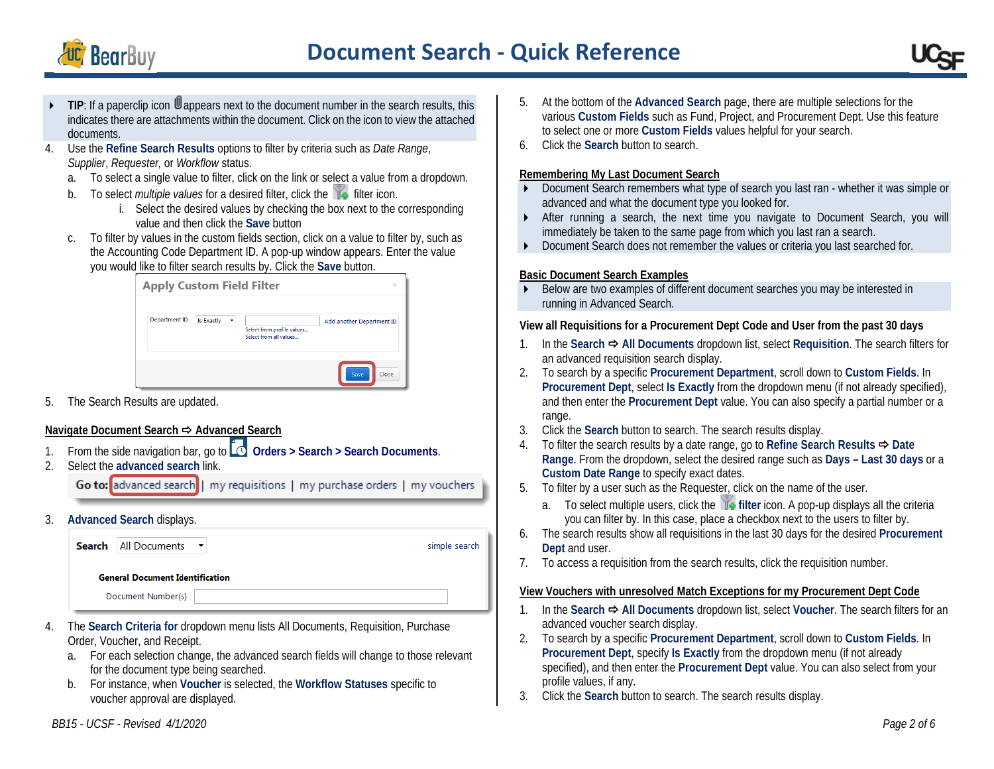



- TIP: If a paperclip icon **U** appears next to the document number in the search results, this indicates there are attachments within the document. Click on the icon to view the attached documents.
- 4. Use the **Refine Search Results** options to filter by criteria such as *Date Range*, *Supplier*, *Requester,* or *Workflow* status.
	- a. To select a single value to filter, click on the link or select a value from a dropdown.
	- b. To select *multiple values* for a desired filter, click the **filter** icon.
		- i. Select the desired values by checking the box next to the corresponding value and then click the **Save** button
	- To filter by values in the custom fields section, click on a value to filter by, such as the Accounting Code Department ID. A pop-up window appears. Enter the value you would like to filter search results by. Click the **Save** button.

| Department ID | <b>Is Exactly</b><br>۰ | Select from profile values | Add another Department ID |
|---------------|------------------------|----------------------------|---------------------------|
|---------------|------------------------|----------------------------|---------------------------|

5. The Search Results are updated.

# **Navigate Document Search → Advanced Search**

- 1. From the side navigation bar, go to **Orders > Search > Search Documents**.
- 2. Select the **advanced search** link.

Go to: advanced search | my requisitions | my purchase orders | my vouchers

3. **Advanced Search** displays.



- 4. The **Search Criteria for** dropdown menu lists All Documents, Requisition, Purchase Order, Voucher, and Receipt.
	- a. For each selection change, the advanced search fields will change to those relevant for the document type being searched.
	- b. For instance, when **Voucher** is selected, the **Workflow Statuses** specific to voucher approval are displayed.
- 5. At the bottom of the **Advanced Search** page, there are multiple selections for the various **Custom Fields** such as Fund, Project, and Procurement Dept. Use this feature to select one or more **Custom Fields** values helpful for your search.
- 6. Click the **Search** button to search.

# **Remembering My Last Document Search**

- Document Search remembers what type of search you last ran whether it was simple or advanced and what the document type you looked for.
- After running a search, the next time you navigate to Document Search, you will immediately be taken to the same page from which you last ran a search.
- Document Search does not remember the values or criteria you last searched for.

# **Basic Document Search Examples**

Below are two examples of different document searches you may be interested in running in Advanced Search.

# **View all Requisitions for a Procurement Dept Code and User from the past 30 days**

- 1. In the Search **→** All Documents dropdown list, select Requisition. The search filters for an advanced requisition search display.
- 2. To search by a specific **Procurement Department**, scroll down to **Custom Fields**. In **Procurement Dept**, select **Is Exactly** from the dropdown menu (if not already specified), and then enter the **Procurement Dept** value. You can also specify a partial number or a range.
- 3. Click the **Search** button to search. The search results display.
- 4. To filter the search results by a date range, go to Refine Search Results **→** Date **Range**. From the dropdown, select the desired range such as **Days – Last 30 days** or a **Custom Date Range** to specify exact dates.
- 5. To filter by a user such as the Requester, click on the name of the user.
	- a. To select multiple users, click the **filter** icon. A pop-up displays all the criteria you can filter by. In this case, place a checkbox next to the users to filter by.
- 6. The search results show all requisitions in the last 30 days for the desired **Procurement Dept** and user.
- 7. To access a requisition from the search results, click the requisition number.

# **View Vouchers with unresolved Match Exceptions for my Procurement Dept Code**

- 1. In the Search **→ All Documents** dropdown list, select Voucher. The search filters for an advanced voucher search display.
- 2. To search by a specific **Procurement Department**, scroll down to **Custom Fields**. In **Procurement Dept**, specify **Is Exactly** from the dropdown menu (if not already specified), and then enter the **Procurement Dept** value. You can also select from your profile values, if any.
- 3. Click the **Search** button to search. The search results display.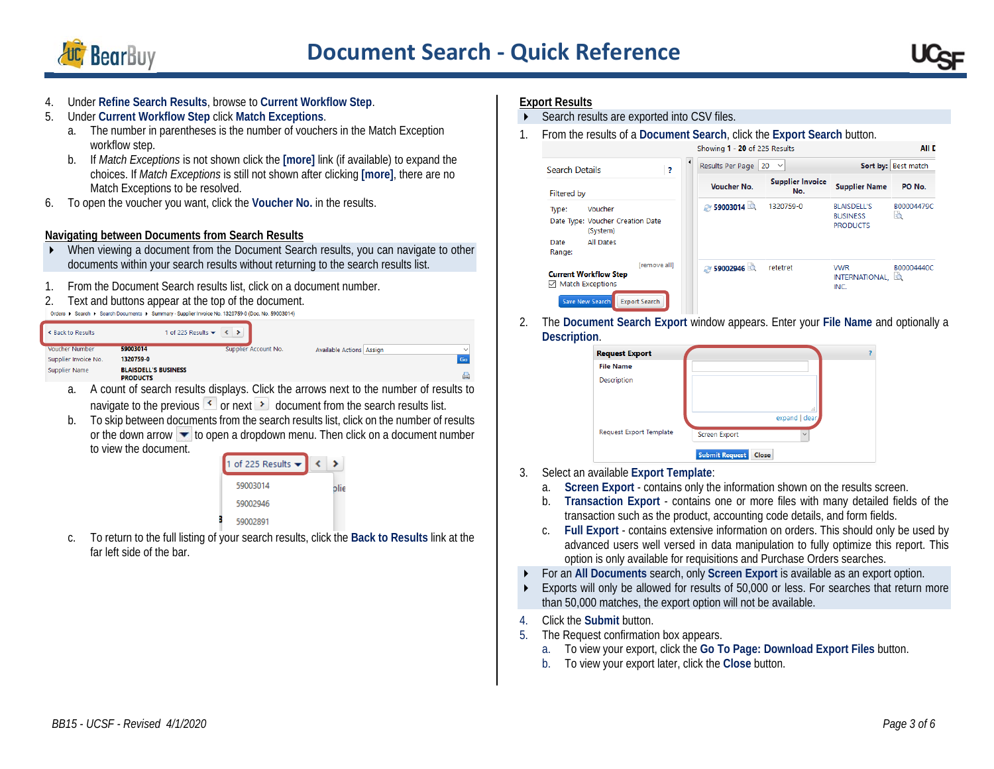

# **Document Search - Quick Reference**

ALL P

- 4. Under **Refine Search Results**, browse to **Current Workflow Step**.
- 5. Under **Current Workflow Step** click **Match Exceptions**.
	- a. The number in parentheses is the number of vouchers in the Match Exception workflow step.
	- b. If *Match Exceptions* is not shown click the **[more]** link (if available) to expand the choices. If *Match Exceptions* is still not shown after clicking **[more]**, there are no Match Exceptions to be resolved.
- 6. To open the voucher you want, click the **Voucher No.** in the results.

# **Navigating between Documents from Search Results**

- When viewing a document from the Document Search results, you can navigate to other documents within your search results without returning to the search results list.
- 1. From the Document Search results list, click on a document number.
- 2. Text and buttons appear at the top of the document.

|                          | Orders ▶ Search ▶ Search Documents ▶ Summary - Supplier Invoice No. 1320759-0 (Doc. No. 59003014) |  |
|--------------------------|---------------------------------------------------------------------------------------------------|--|
| <b>K</b> Back to Results | 1 of 225 Results $\bullet$ $\bullet$ $\bullet$ $\bullet$                                          |  |

| K Back to Results     | 1 of 225 Results $\blacktriangledown$ $\blacktriangledown$ $\blacktriangledown$ $\blacktriangledown$ $\blacktriangledown$ |                      |                                 |  |           |
|-----------------------|---------------------------------------------------------------------------------------------------------------------------|----------------------|---------------------------------|--|-----------|
| <b>Voucher Number</b> | 59003014                                                                                                                  | Supplier Account No. | <b>Available Actions Assign</b> |  |           |
| Supplier Invoice No.  | 1320759-0                                                                                                                 |                      |                                 |  |           |
| Supplier Name         | <b>BLAISDELL'S BUSINESS</b><br><b>PRODUCTS</b>                                                                            |                      |                                 |  |           |
|                       | .                                                                                                                         | $-1$                 | .                               |  | $\cdot$ . |

- a. A count of search results displays. Click the arrows next to the number of results to navigate to the previous  $\left\langle \right\rangle$  or next  $\left\langle \right\rangle$  document from the search results list.
- b. To skip between documents from the search results list, click on the number of results or the down arrow  $\blacktriangleright$  to open a dropdown menu. Then click on a document number to view the document.

| 1 of 225 Results $\blacktriangleright$ |      |
|----------------------------------------|------|
| 59003014                               | blie |
| 59002946                               |      |
| 59002891                               |      |

c. To return to the full listing of your search results, click the **Back to Results** link at the far left side of the bar.

#### **Export Results**

- Search results are exported into CSV files.
- 1. From the results of a **Document Search**, click the **Export Search** button.

| <b>Search Details</b><br>?                                                                                                            | $\blacktriangleleft$<br>Results Per Page<br>$20 \sim$ |                                |                                                          | Sort by: Best match    |  |
|---------------------------------------------------------------------------------------------------------------------------------------|-------------------------------------------------------|--------------------------------|----------------------------------------------------------|------------------------|--|
| <b>Filtered by</b>                                                                                                                    | Voucher No.                                           | <b>Supplier Invoice</b><br>No. | <b>Supplier Name</b>                                     | PO No.                 |  |
| Voucher<br>Type:<br>Date Type: Voucher Creation Date<br>(System)<br>All Dates<br>Date<br>Range:                                       | 2 59003014                                            | 1320759-0                      | <b>BLAISDELL'S</b><br><b>BUSINESS</b><br><b>PRODUCTS</b> | B00004479C<br>b        |  |
| <b>Iremove all1</b><br><b>Current Workflow Step</b><br><b>Match Exceptions</b><br>✓<br><b>Save New Search</b><br><b>Export Search</b> | ● 59002946                                            | retetret                       | <b>VWR</b><br><b>INTERNATIONAL.</b><br>INC.              | B00004440C<br><b>b</b> |  |

2. The **Document Search Export** window appears. Enter your **File Name** and optionally a **Description**.

| <b>Request Export</b>   |                                      |
|-------------------------|--------------------------------------|
| <b>File Name</b>        |                                      |
| Description             |                                      |
|                         |                                      |
|                         | i<br>expand   clear                  |
| Request Export Template | <b>Screen Export</b><br>$\checkmark$ |
|                         | <b>Submit Request</b><br>Close       |

- 3. Select an available **Export Template**:
	- a. **Screen Export** contains only the information shown on the results screen.
	- b. **Transaction Export** contains one or more files with many detailed fields of the transaction such as the product, accounting code details, and form fields.
	- c. **Full Export** contains extensive information on orders. This should only be used by advanced users well versed in data manipulation to fully optimize this report. This option is only available for requisitions and Purchase Orders searches.
- For an **All Documents** search, only **Screen Export** is available as an export option.
- Exports will only be allowed for results of 50,000 or less. For searches that return more than 50,000 matches, the export option will not be available.
- 4. Click the **Submit** button.
- 5. The Request confirmation box appears.
	- a. To view your export, click the **Go To Page: Download Export Files** button.
	- b. To view your export later, click the **Close** button.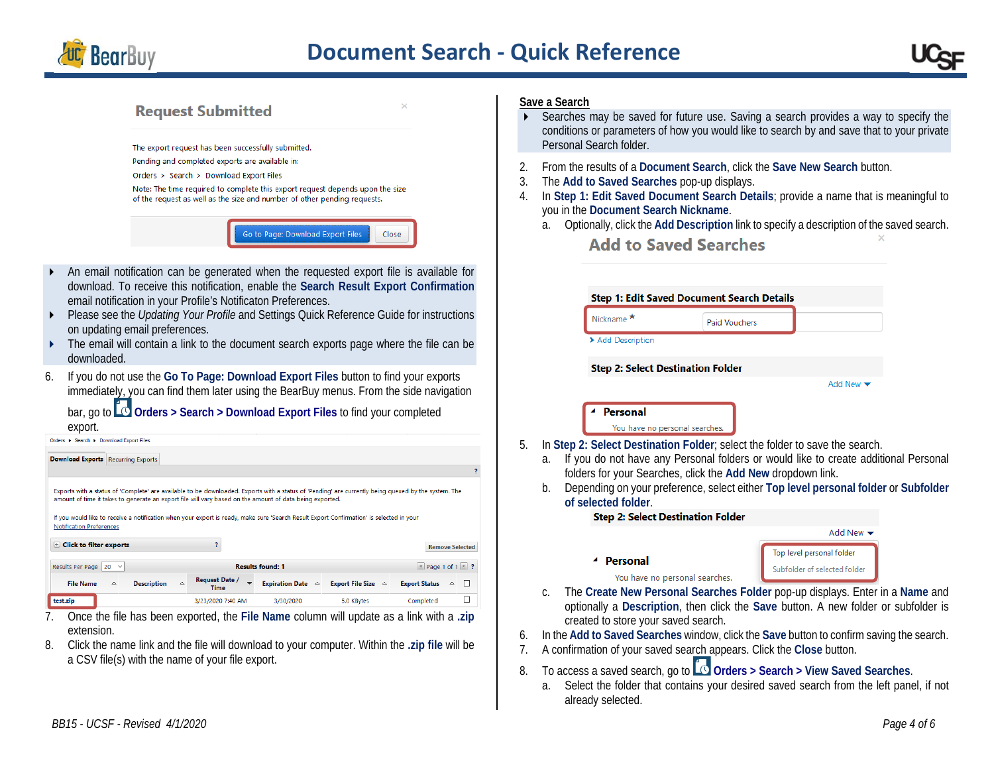

# **Request Submitted**

The export request has been successfully submitted.

- Pending and completed exports are available in:
- Orders > Search > Download Export Files

Note: The time required to complete this export request depends upon the size of the request as well as the size and number of other pending requests.

#### Go to Page: Download Export Files Close

- An email notification can be generated when the requested export file is available for download. To receive this notification, enable the **Search Result Export Confirmation** email notification in your Profile's Notificaton Preferences.
- **Please see the** *Updating Your Profile* and Settings Quick Reference Guide for instructions on updating email preferences.
- The email will contain a link to the document search exports page where the file can be downloaded.
- 6. If you do not use the **Go To Page: Download Export Files** button to find your exports immediately, you can find them later using the BearBuy menus. From the side navigation

bar, go to **Orders > Search > Download Export Files** to find your completed export.

| <u>UNCES SCONTINE DUWINUOU EXPUILMENTS</u>                             |             |                    |                                                                                                                                                                                                                                                                                                                                                                                                              |                             |                              |                                       |   |
|------------------------------------------------------------------------|-------------|--------------------|--------------------------------------------------------------------------------------------------------------------------------------------------------------------------------------------------------------------------------------------------------------------------------------------------------------------------------------------------------------------------------------------------------------|-----------------------------|------------------------------|---------------------------------------|---|
| <b>Download Exports</b> Recurring Exports                              |             |                    |                                                                                                                                                                                                                                                                                                                                                                                                              |                             |                              |                                       |   |
|                                                                        |             |                    |                                                                                                                                                                                                                                                                                                                                                                                                              |                             |                              |                                       |   |
| <b>Notification Preferences</b><br>$\mathbb H$ Click to filter exports |             |                    | Exports with a status of 'Complete' are available to be downloaded. Exports with a status of 'Pending' are currently being queued by the system. The<br>amount of time it takes to generate an export file will vary based on the amount of data being exported.<br>If you would like to receive a notification when your export is ready, make sure 'Search Result Export Confirmation' is selected in your |                             |                              | <b>Remove Selected</b>                |   |
| Results Per Page 20 $\sim$                                             |             |                    |                                                                                                                                                                                                                                                                                                                                                                                                              | <b>Results found: 1</b>     |                              | $\parallel$ Page 1 of 1 $\parallel$ ? |   |
| <b>File Name</b>                                                       | $\triangle$ | <b>Description</b> | <b>Request Date /</b><br>$\overline{\phantom{0}}$<br>$\triangle$<br>Time                                                                                                                                                                                                                                                                                                                                     | Expiration Date $\triangle$ | Export File Size $\triangle$ | <b>Export Status</b><br>$\triangle$   | ┍ |
| test.zip                                                               |             |                    | 3/23/2020 7:40 AM                                                                                                                                                                                                                                                                                                                                                                                            | 3/30/2020                   | 5.0 KBytes                   | Completed                             |   |

- 7. Once the file has been exported, the **File Name** column will update as a link with a **.zip** extension.
- 8. Click the name link and the file will download to your computer. Within the **.zip file** will be a CSV file(s) with the name of your file export.

#### **Save a Search**

- Searches may be saved for future use. Saving a search provides a way to specify the conditions or parameters of how you would like to search by and save that to your private Personal Search folder.
- 2. From the results of a **Document Search**, click the **Save New Search** button.
- 3. The **Add to Saved Searches** pop-up displays.
- 4. In **Step 1: Edit Saved Document Search Details**; provide a name that is meaningful to you in the **Document Search Nickname**.
	- a. Optionally, click the **Add Description** link to specify a description of the saved search.

**Add to Saved Searches** 

|          |                | <b>Step 1: Edit Saved Document Search Details</b>                                  |                      |                                                                                                                                                                                                                                                          |  |
|----------|----------------|------------------------------------------------------------------------------------|----------------------|----------------------------------------------------------------------------------------------------------------------------------------------------------------------------------------------------------------------------------------------------------|--|
|          |                | Nickname <sup>*</sup>                                                              | <b>Paid Vouchers</b> |                                                                                                                                                                                                                                                          |  |
|          |                | > Add Description                                                                  |                      |                                                                                                                                                                                                                                                          |  |
|          |                | <b>Step 2: Select Destination Folder</b>                                           |                      |                                                                                                                                                                                                                                                          |  |
|          |                |                                                                                    |                      | Add New $\blacktriangledown$                                                                                                                                                                                                                             |  |
|          |                | Personal<br>You have no personal searches.                                         |                      |                                                                                                                                                                                                                                                          |  |
| 5.       | a.<br>b.       | folders for your Searches, click the Add New dropdown link.<br>of selected folder. |                      | In Step 2: Select Destination Folder; select the folder to save the search.<br>If you do not have any Personal folders or would like to create additional Personal<br>Depending on your preference, select either Top level personal folder or Subfolder |  |
|          |                | <b>Step 2: Select Destination Folder</b>                                           |                      |                                                                                                                                                                                                                                                          |  |
|          |                |                                                                                    |                      | Add New $\blacktriangledown$                                                                                                                                                                                                                             |  |
|          |                | Personal<br>You have no personal searches.                                         |                      | Top level personal folder<br>Subfolder of selected folder                                                                                                                                                                                                |  |
|          | $\mathsf{C}$ . | created to store your saved search.                                                |                      | The Create New Personal Searches Folder pop-up displays. Enter in a Name and<br>optionally a Description, then click the Save button. A new folder or subfolder is                                                                                       |  |
| 6.<br>7. |                |                                                                                    |                      | In the Add to Saved Searches window, click the Save button to confirm saving the search.<br>A confirmation of your saved search appears. Click the Close button.                                                                                         |  |
| 8.       |                |                                                                                    |                      | To access a saved search, go to <b>Q Orders</b> > Search > View Saved Searches.                                                                                                                                                                          |  |

a. Select the folder that contains your desired saved search from the left panel, if not already selected.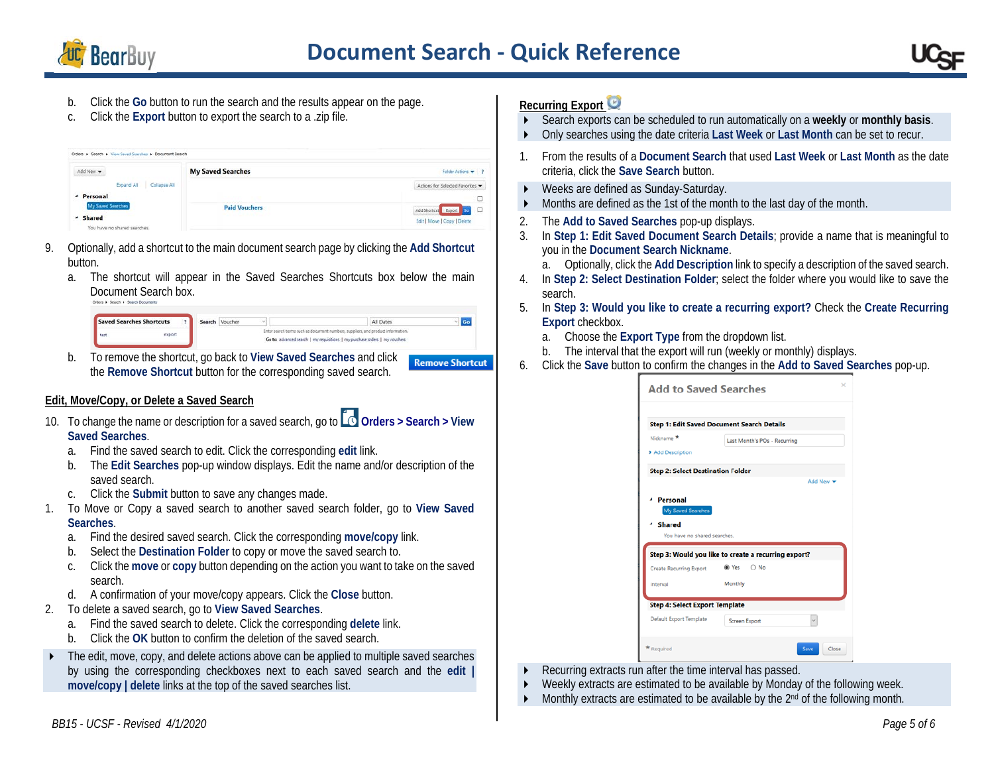

# **Document Search - Quick Reference**

- b. Click the **Go** button to run the search and the results appear on the page.
- c. Click the **Export** button to export the search to a .zip file.

| Add New -                  | <b>My Saved Searches</b> | Folder Actions + ?             |
|----------------------------|--------------------------|--------------------------------|
| Expand All<br>Collapse All |                          | Actions for Selected Favorites |
| <b>Personal</b>            |                          | $\Box$                         |
| My Saved Searches          | <b>Paid Vouchers</b>     | Add Shortcut Export Co D       |
| - Shared                   |                          | Edit   Move   Copy   Delete    |

- 9. Optionally, add a shortcut to the main document search page by clicking the **Add Shortcut** button.
	- a. The shortcut will appear in the Saved Searches Shortcuts box below the main Document Search box.

| Saved Searches Shortcuts |  | Search Voucher | All Dates                                                                        |  |
|--------------------------|--|----------------|----------------------------------------------------------------------------------|--|
| venort                   |  |                | Enter search terms such as document numbers, suppliers, and product information. |  |
|                          |  |                | Go to: advanced search   my requisitions   my purchase orders   my vouchers      |  |

b. To remove the shortcut, go back to **View Saved Searches** and click **Remove Shortcut** the **Remove Shortcut** button for the corresponding saved search.

# **Edit, Move/Copy, or Delete a Saved Search**

- 10. To change the name or description for a saved search, go to **O** Orders > Search > View **Saved Searches**.
	- a. Find the saved search to edit. Click the corresponding **edit** link.
	- b. The **Edit Searches** pop-up window displays. Edit the name and/or description of the saved search.
	- c. Click the **Submit** button to save any changes made.
- 1. To Move or Copy a saved search to another saved search folder, go to **View Saved Searches**.
	- a. Find the desired saved search. Click the corresponding **move/copy** link.
	- b. Select the **Destination Folder** to copy or move the saved search to.
	- c. Click the **move** or **copy** button depending on the action you want to take on the saved search.
	- d. A confirmation of your move/copy appears. Click the **Close** button.
- 2. To delete a saved search, go to **View Saved Searches**.
	- a. Find the saved search to delete. Click the corresponding **delete** link.
	- b. Click the **OK** button to confirm the deletion of the saved search.
- The edit, move, copy, and delete actions above can be applied to multiple saved searches by using the corresponding checkboxes next to each saved search and the **edit | move/copy | delete** links at the top of the saved searches list.

# **Recurring Export**

- Search exports can be scheduled to run automatically on a **weekly** or **monthly basis**.
- Only searches using the date criteria **Last Week** or **Last Month** can be set to recur.
- 1. From the results of a **Document Search** that used **Last Week** or **Last Month** as the date criteria, click the **Save Search** button.
- ▶ Weeks are defined as Sunday-Saturday.
- Months are defined as the 1st of the month to the last day of the month.
- 2. The **Add to Saved Searches** pop-up displays.
- 3. In **Step 1: Edit Saved Document Search Details**; provide a name that is meaningful to you in the **Document Search Nickname**.
	- a. Optionally, click the **Add Description** link to specify a description of the saved search.
- 4. In **Step 2: Select Destination Folder**; select the folder where you would like to save the search.
- 5. In **Step 3: Would you like to create a recurring export?** Check the **Create Recurring Export** checkbox.
	- a. Choose the **Export Type** from the dropdown list.
	- b. The interval that the export will run (weekly or monthly) displays.
- 6. Click the **Save** button to confirm the changes in the **Add to Saved Searches** pop-up.

| Last Month's POs - Recurring<br>Add New ~            |
|------------------------------------------------------|
|                                                      |
|                                                      |
|                                                      |
|                                                      |
|                                                      |
|                                                      |
|                                                      |
|                                                      |
|                                                      |
|                                                      |
|                                                      |
|                                                      |
|                                                      |
|                                                      |
| Step 3: Would you like to create a recurring export? |

- Recurring extracts run after the time interval has passed.
- Weekly extracts are estimated to be available by Monday of the following week.
- $\blacktriangleright$  Monthly extracts are estimated to be available by the 2<sup>nd</sup> of the following month.